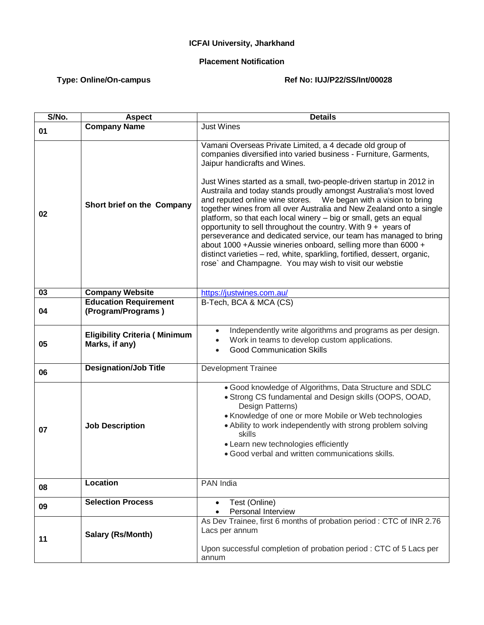## **ICFAI University, Jharkhand**

## **Placement Notification**

## Type: Online/On-campus **Ref No: IUJ/P22/SS/Int/00028**

| S/No. | <b>Aspect</b>                                          | <b>Details</b>                                                                                                                                                                                                                                                                                                                                                                                                                                                                                                                                                                                                                                                                                           |
|-------|--------------------------------------------------------|----------------------------------------------------------------------------------------------------------------------------------------------------------------------------------------------------------------------------------------------------------------------------------------------------------------------------------------------------------------------------------------------------------------------------------------------------------------------------------------------------------------------------------------------------------------------------------------------------------------------------------------------------------------------------------------------------------|
| 01    | <b>Company Name</b>                                    | <b>Just Wines</b>                                                                                                                                                                                                                                                                                                                                                                                                                                                                                                                                                                                                                                                                                        |
|       |                                                        | Vamani Overseas Private Limited, a 4 decade old group of<br>companies diversified into varied business - Furniture, Garments,<br>Jaipur handicrafts and Wines.                                                                                                                                                                                                                                                                                                                                                                                                                                                                                                                                           |
| 02    | Short brief on the Company                             | Just Wines started as a small, two-people-driven startup in 2012 in<br>Austraila and today stands proudly amongst Australia's most loved<br>and reputed online wine stores.  We began with a vision to bring<br>together wines from all over Australia and New Zealand onto a single<br>platform, so that each local winery - big or small, gets an equal<br>opportunity to sell throughout the country. With $9 +$ years of<br>perseverance and dedicated service, our team has managed to bring<br>about 1000 +Aussie wineries onboard, selling more than 6000 +<br>distinct varieties - red, white, sparkling, fortified, dessert, organic,<br>rose` and Champagne. You may wish to visit our webstie |
| 03    | <b>Company Website</b>                                 | https://justwines.com.au/                                                                                                                                                                                                                                                                                                                                                                                                                                                                                                                                                                                                                                                                                |
| 04    | <b>Education Requirement</b><br>(Program/Programs)     | B-Tech, BCA & MCA (CS)                                                                                                                                                                                                                                                                                                                                                                                                                                                                                                                                                                                                                                                                                   |
| 05    | <b>Eligibility Criteria (Minimum</b><br>Marks, if any) | Independently write algorithms and programs as per design.<br>$\bullet$<br>Work in teams to develop custom applications.<br><b>Good Communication Skills</b>                                                                                                                                                                                                                                                                                                                                                                                                                                                                                                                                             |
| 06    | <b>Designation/Job Title</b>                           | <b>Development Trainee</b>                                                                                                                                                                                                                                                                                                                                                                                                                                                                                                                                                                                                                                                                               |
| 07    | <b>Job Description</b>                                 | . Good knowledge of Algorithms, Data Structure and SDLC<br>• Strong CS fundamental and Design skills (OOPS, OOAD,<br>Design Patterns)<br>• Knowledge of one or more Mobile or Web technologies<br>• Ability to work independently with strong problem solving<br>skills<br>• Learn new technologies efficiently<br>· Good verbal and written communications skills.                                                                                                                                                                                                                                                                                                                                      |
| 08    | <b>Location</b>                                        | PAN India                                                                                                                                                                                                                                                                                                                                                                                                                                                                                                                                                                                                                                                                                                |
| 09    | <b>Selection Process</b>                               | Test (Online)<br>Personal Interview                                                                                                                                                                                                                                                                                                                                                                                                                                                                                                                                                                                                                                                                      |
| 11    | Salary (Rs/Month)                                      | As Dev Trainee, first 6 months of probation period : CTC of INR 2.76<br>Lacs per annum<br>Upon successful completion of probation period : CTC of 5 Lacs per                                                                                                                                                                                                                                                                                                                                                                                                                                                                                                                                             |
|       |                                                        | annum                                                                                                                                                                                                                                                                                                                                                                                                                                                                                                                                                                                                                                                                                                    |